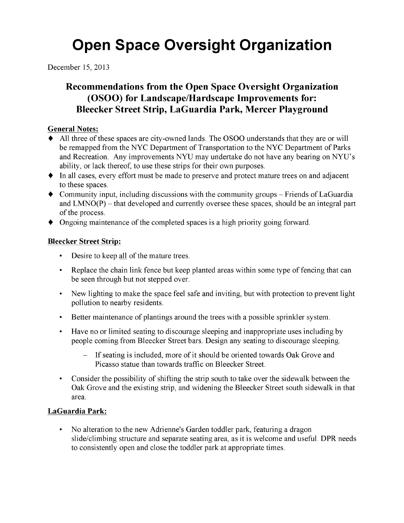# **Open Space Oversight Organization**

December 15, 2013

## **Recommendations from the Open Space Oversight Organization (OSOO)** for Landscape/Hardscape Improvements for: **Bleecker Street Strip, LaGuardia Park, Mercer Playground**

#### **General Notes:**

- All three of these spaces are city-owned lands. The OSOO understands that they are or will be remapped from the NYC Department of Transportation to the NYC Department of Parks and Recreation. Any improvements NYU may undertake do not have any bearing on NYU's ability, or lack thereof, to use these strips for their own purposes.
- In all cases, every effort must be made to preserve and protect mature trees on and adjacent to these spaces.
- $\bullet$  Community input, including discussions with the community groups Friends of LaGuardia and  $LMNO(P)$  – that developed and currently oversee these spaces, should be an integral part of the process.
- $\bullet$  Ongoing maintenance of the completed spaces is a high priority going forward.

#### **Bleecker Street Strip:**

- Desire to keep all of the mature trees.
- Replace the chain link fence but keep planted areas within some type of fencing that can be seen through but not stepped over.
- New lighting to make the space feel safe and inviting, but with protection to prevent light pollution to nearby residents.
- Better maintenance of plantings around the trees with a possible sprinkler system.
- Have no or limited seating to discourage sleeping and inappropriate uses including by people coming from Bleecker Street bars. Design any seating to discourage sleeping.
	- If seating is included, more of it should be oriented towards Oak Grove and Picasso statue than towards traffic on Bleecker Street.
- Consider the possibility of shifting the strip south to take over the sidewalk between the Oak Grove and the existing strip, and widening the Bleecker Street south sidewalk in that area.

### **LaGuardia Park:**

• No alteration to the new Adrienne's Garden toddler park, featuring a dragon slide/climbing structure and separate seating area, as it is welcome and useful. DPR needs to consistently open and close the toddler park at appropriate times.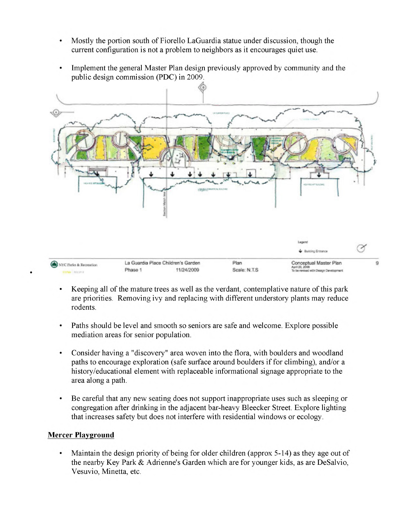- Mostly the portion south of Fiorello LaGuardia statue under discussion, though the current configuration is not a problem to neighbors as it encourages quiet use.
- Implement the general Master Plan design previously approved by community and the public design commission (PDC) in 2009.



- Keeping all of the mature trees as well as the verdant, contemplative nature of this park are priorities. Removing ivy and replacing with different understory plants may reduce rodents.
- Paths should be level and smooth so seniors are safe and welcome. Explore possible mediation areas for senior population.
- Consider having a "discovery" area woven into the flora, with boulders and woodland paths to encourage exploration (safe surface around boulders if for climbing), and/or a history/educational element with replaceable informational signage appropriate to the area along a path.
- Be careful that any new seating does not support inappropriate uses such as sleeping or congregation after drinking in the adjacent bar-heavy Bleecker Street. Explore lighting that increases safety but does not interfere with residential windows or ecology.

#### **Mercer Playground**

Maintain the design priority of being for older children (approx 5-14) as they age out of the nearby Key Park & Adrienne's Garden which are for younger kids, as are DeSalvio, Vesuvio, Minetta, etc.